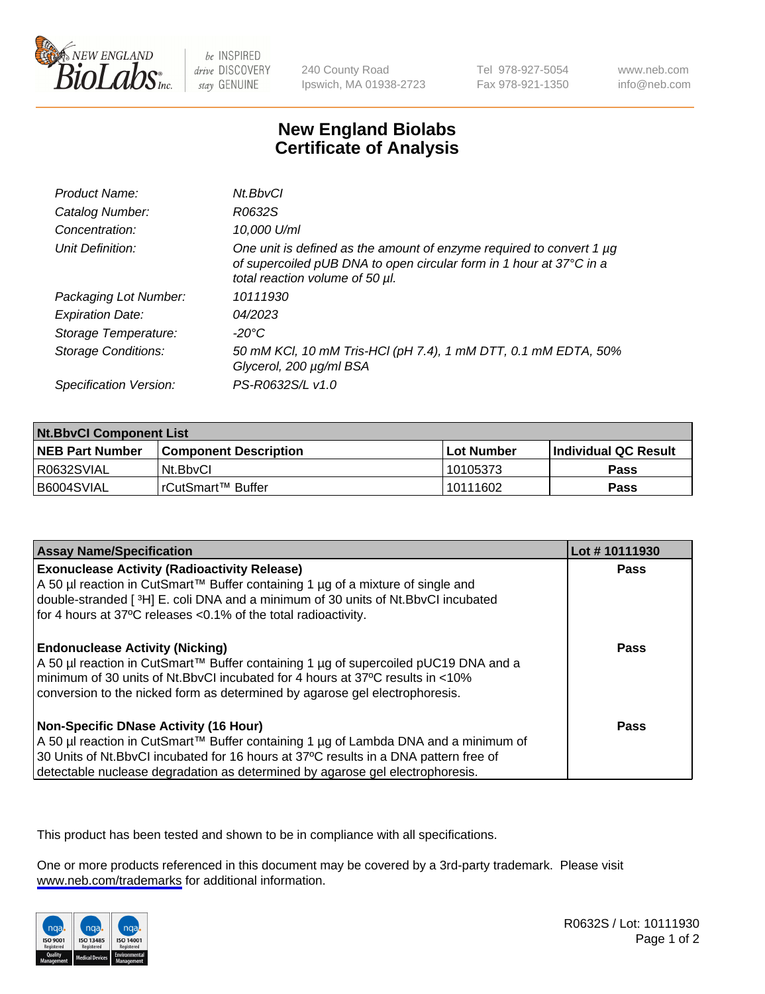

be INSPIRED drive DISCOVERY stay GENUINE

240 County Road Ipswich, MA 01938-2723 Tel 978-927-5054 Fax 978-921-1350

www.neb.com info@neb.com

## **New England Biolabs Certificate of Analysis**

| Product Name:              | Nt.BbvCl                                                                                                                                                                       |
|----------------------------|--------------------------------------------------------------------------------------------------------------------------------------------------------------------------------|
| Catalog Number:            | R0632S                                                                                                                                                                         |
| Concentration:             | 10,000 U/ml                                                                                                                                                                    |
| Unit Definition:           | One unit is defined as the amount of enzyme required to convert 1 µg<br>of supercoiled pUB DNA to open circular form in 1 hour at 37°C in a<br>total reaction volume of 50 µl. |
| Packaging Lot Number:      | 10111930                                                                                                                                                                       |
| <b>Expiration Date:</b>    | 04/2023                                                                                                                                                                        |
| Storage Temperature:       | $-20^{\circ}$ C                                                                                                                                                                |
| <b>Storage Conditions:</b> | 50 mM KCl, 10 mM Tris-HCl (pH 7.4), 1 mM DTT, 0.1 mM EDTA, 50%<br>Glycerol, 200 µg/ml BSA                                                                                      |
| Specification Version:     | PS-R0632S/L v1.0                                                                                                                                                               |

| <b>Nt.BbvCl Component List</b> |                         |             |                             |  |
|--------------------------------|-------------------------|-------------|-----------------------------|--|
| <b>NEB Part Number</b>         | l Component Description | ⊺Lot Number | <b>Individual QC Result</b> |  |
| I R0632SVIAL                   | Nt.BbvCl                | 10105373    | <b>Pass</b>                 |  |
| I B6004SVIAL                   | l rCutSmart™ Buffer     | 10111602    | <b>Pass</b>                 |  |

| <b>Assay Name/Specification</b>                                                                                                                                                                                                                                                                                | Lot #10111930 |
|----------------------------------------------------------------------------------------------------------------------------------------------------------------------------------------------------------------------------------------------------------------------------------------------------------------|---------------|
| <b>Exonuclease Activity (Radioactivity Release)</b><br>A 50 µl reaction in CutSmart™ Buffer containing 1 µg of a mixture of single and<br>double-stranded [3H] E. coli DNA and a minimum of 30 units of Nt. BbvCl incubated<br>for 4 hours at 37°C releases < 0.1% of the total radioactivity.                 | Pass          |
| <b>Endonuclease Activity (Nicking)</b><br>  A 50 µl reaction in CutSmart™ Buffer containing 1 µg of supercoiled pUC19 DNA and a<br>minimum of 30 units of Nt.BbvCI incubated for 4 hours at 37°C results in <10%<br>conversion to the nicked form as determined by agarose gel electrophoresis.                | <b>Pass</b>   |
| <b>Non-Specific DNase Activity (16 Hour)</b><br>  A 50 µl reaction in CutSmart™ Buffer containing 1 µg of Lambda DNA and a minimum of<br>30 Units of Nt.BbvCl incubated for 16 hours at 37°C results in a DNA pattern free of<br>detectable nuclease degradation as determined by agarose gel electrophoresis. | Pass          |

This product has been tested and shown to be in compliance with all specifications.

One or more products referenced in this document may be covered by a 3rd-party trademark. Please visit <www.neb.com/trademarks>for additional information.